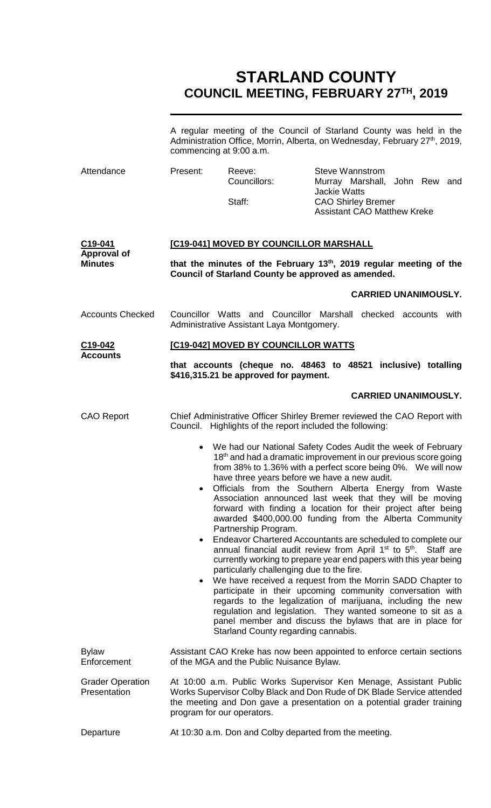# **STARLAND COUNTY COUNCIL MEETING, FEBRUARY 27TH, 2019**

|                                         | A regular meeting of the Council of Starland County was held in the<br>Administration Office, Morrin, Alberta, on Wednesday, February 27 <sup>th</sup> , 2019,<br>commencing at 9:00 a.m.                                                                                                                                                                                                                                                                                                                                                                                                                                                                                                                                                                                                                                                                                                                                                                                                                                                                                                                                                                                                                 |                                                           |                                                                                                                  |                                                                                                                                                                                                                        |
|-----------------------------------------|-----------------------------------------------------------------------------------------------------------------------------------------------------------------------------------------------------------------------------------------------------------------------------------------------------------------------------------------------------------------------------------------------------------------------------------------------------------------------------------------------------------------------------------------------------------------------------------------------------------------------------------------------------------------------------------------------------------------------------------------------------------------------------------------------------------------------------------------------------------------------------------------------------------------------------------------------------------------------------------------------------------------------------------------------------------------------------------------------------------------------------------------------------------------------------------------------------------|-----------------------------------------------------------|------------------------------------------------------------------------------------------------------------------|------------------------------------------------------------------------------------------------------------------------------------------------------------------------------------------------------------------------|
| Attendance                              | Present:                                                                                                                                                                                                                                                                                                                                                                                                                                                                                                                                                                                                                                                                                                                                                                                                                                                                                                                                                                                                                                                                                                                                                                                                  | Reeve:<br>Councillors:<br>Staff:                          | <b>Steve Wannstrom</b><br><b>Jackie Watts</b><br><b>CAO Shirley Bremer</b><br><b>Assistant CAO Matthew Kreke</b> | Murray Marshall, John Rew and                                                                                                                                                                                          |
| C19-041<br><b>Approval of</b>           | [C19-041] MOVED BY COUNCILLOR MARSHALL                                                                                                                                                                                                                                                                                                                                                                                                                                                                                                                                                                                                                                                                                                                                                                                                                                                                                                                                                                                                                                                                                                                                                                    |                                                           |                                                                                                                  |                                                                                                                                                                                                                        |
| <b>Minutes</b>                          | that the minutes of the February 13 <sup>th</sup> , 2019 regular meeting of the<br>Council of Starland County be approved as amended.                                                                                                                                                                                                                                                                                                                                                                                                                                                                                                                                                                                                                                                                                                                                                                                                                                                                                                                                                                                                                                                                     |                                                           |                                                                                                                  |                                                                                                                                                                                                                        |
|                                         |                                                                                                                                                                                                                                                                                                                                                                                                                                                                                                                                                                                                                                                                                                                                                                                                                                                                                                                                                                                                                                                                                                                                                                                                           |                                                           |                                                                                                                  | <b>CARRIED UNANIMOUSLY.</b>                                                                                                                                                                                            |
| <b>Accounts Checked</b>                 |                                                                                                                                                                                                                                                                                                                                                                                                                                                                                                                                                                                                                                                                                                                                                                                                                                                                                                                                                                                                                                                                                                                                                                                                           | Administrative Assistant Laya Montgomery.                 |                                                                                                                  | Councillor Watts and Councillor Marshall checked accounts with                                                                                                                                                         |
| C <sub>19</sub> -042<br><b>Accounts</b> |                                                                                                                                                                                                                                                                                                                                                                                                                                                                                                                                                                                                                                                                                                                                                                                                                                                                                                                                                                                                                                                                                                                                                                                                           | [C19-042] MOVED BY COUNCILLOR WATTS                       |                                                                                                                  |                                                                                                                                                                                                                        |
|                                         |                                                                                                                                                                                                                                                                                                                                                                                                                                                                                                                                                                                                                                                                                                                                                                                                                                                                                                                                                                                                                                                                                                                                                                                                           | \$416,315.21 be approved for payment.                     |                                                                                                                  | that accounts (cheque no. 48463 to 48521 inclusive) totalling                                                                                                                                                          |
|                                         |                                                                                                                                                                                                                                                                                                                                                                                                                                                                                                                                                                                                                                                                                                                                                                                                                                                                                                                                                                                                                                                                                                                                                                                                           |                                                           |                                                                                                                  | <b>CARRIED UNANIMOUSLY.</b>                                                                                                                                                                                            |
| <b>CAO Report</b>                       |                                                                                                                                                                                                                                                                                                                                                                                                                                                                                                                                                                                                                                                                                                                                                                                                                                                                                                                                                                                                                                                                                                                                                                                                           | Council. Highlights of the report included the following: |                                                                                                                  | Chief Administrative Officer Shirley Bremer reviewed the CAO Report with                                                                                                                                               |
|                                         | • We had our National Safety Codes Audit the week of February<br>18 <sup>th</sup> and had a dramatic improvement in our previous score going<br>from 38% to 1.36% with a perfect score being 0%. We will now<br>have three years before we have a new audit.<br>Officials from the Southern Alberta Energy from Waste<br>Association announced last week that they will be moving<br>forward with finding a location for their project after being<br>awarded \$400,000.00 funding from the Alberta Community<br>Partnership Program.<br>Endeavor Chartered Accountants are scheduled to complete our<br>$\bullet$<br>annual financial audit review from April 1 <sup>st</sup> to 5 <sup>th</sup> . Staff are<br>currently working to prepare year end papers with this year being<br>particularly challenging due to the fire.<br>We have received a request from the Morrin SADD Chapter to<br>$\bullet$<br>participate in their upcoming community conversation with<br>regards to the legalization of marijuana, including the new<br>regulation and legislation. They wanted someone to sit as a<br>panel member and discuss the bylaws that are in place for<br>Starland County regarding cannabis. |                                                           |                                                                                                                  |                                                                                                                                                                                                                        |
| <b>Bylaw</b><br>Enforcement             |                                                                                                                                                                                                                                                                                                                                                                                                                                                                                                                                                                                                                                                                                                                                                                                                                                                                                                                                                                                                                                                                                                                                                                                                           | of the MGA and the Public Nuisance Bylaw.                 |                                                                                                                  | Assistant CAO Kreke has now been appointed to enforce certain sections                                                                                                                                                 |
| <b>Grader Operation</b><br>Presentation | program for our operators.                                                                                                                                                                                                                                                                                                                                                                                                                                                                                                                                                                                                                                                                                                                                                                                                                                                                                                                                                                                                                                                                                                                                                                                |                                                           |                                                                                                                  | At 10:00 a.m. Public Works Supervisor Ken Menage, Assistant Public<br>Works Supervisor Colby Black and Don Rude of DK Blade Service attended<br>the meeting and Don gave a presentation on a potential grader training |
| Departure                               |                                                                                                                                                                                                                                                                                                                                                                                                                                                                                                                                                                                                                                                                                                                                                                                                                                                                                                                                                                                                                                                                                                                                                                                                           | At 10:30 a.m. Don and Colby departed from the meeting.    |                                                                                                                  |                                                                                                                                                                                                                        |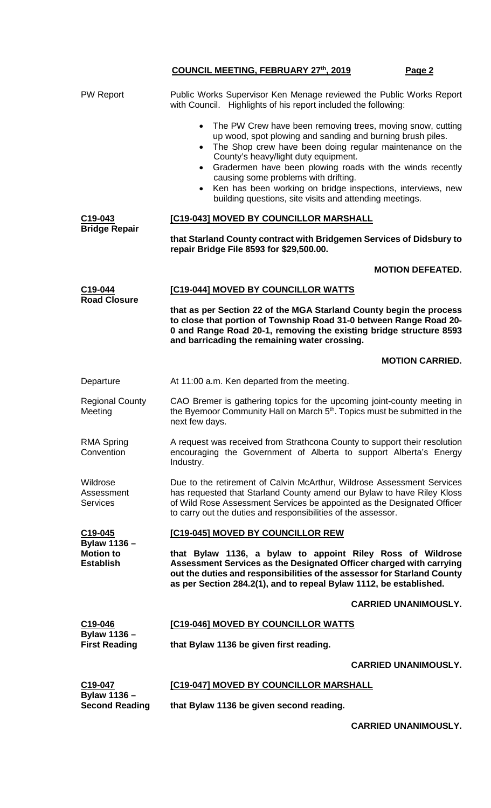| <b>PW Report</b>                          | Public Works Supervisor Ken Menage reviewed the Public Works Report<br>with Council. Highlights of his report included the following:                                                                                                                                                                                                                                                                                                                                                                           |  |  |  |
|-------------------------------------------|-----------------------------------------------------------------------------------------------------------------------------------------------------------------------------------------------------------------------------------------------------------------------------------------------------------------------------------------------------------------------------------------------------------------------------------------------------------------------------------------------------------------|--|--|--|
|                                           | The PW Crew have been removing trees, moving snow, cutting<br>$\bullet$<br>up wood, spot plowing and sanding and burning brush piles.<br>The Shop crew have been doing regular maintenance on the<br>$\bullet$<br>County's heavy/light duty equipment.<br>Gradermen have been plowing roads with the winds recently<br>$\bullet$<br>causing some problems with drifting.<br>Ken has been working on bridge inspections, interviews, new<br>$\bullet$<br>building questions, site visits and attending meetings. |  |  |  |
| C19-043<br><b>Bridge Repair</b>           | [C19-043] MOVED BY COUNCILLOR MARSHALL                                                                                                                                                                                                                                                                                                                                                                                                                                                                          |  |  |  |
|                                           | that Starland County contract with Bridgemen Services of Didsbury to<br>repair Bridge File 8593 for \$29,500.00.                                                                                                                                                                                                                                                                                                                                                                                                |  |  |  |
|                                           | <b>MOTION DEFEATED.</b>                                                                                                                                                                                                                                                                                                                                                                                                                                                                                         |  |  |  |
| C19-044<br><b>Road Closure</b>            | [C19-044] MOVED BY COUNCILLOR WATTS                                                                                                                                                                                                                                                                                                                                                                                                                                                                             |  |  |  |
|                                           | that as per Section 22 of the MGA Starland County begin the process<br>to close that portion of Township Road 31-0 between Range Road 20-<br>0 and Range Road 20-1, removing the existing bridge structure 8593<br>and barricading the remaining water crossing.                                                                                                                                                                                                                                                |  |  |  |
|                                           | <b>MOTION CARRIED.</b>                                                                                                                                                                                                                                                                                                                                                                                                                                                                                          |  |  |  |
| Departure                                 | At 11:00 a.m. Ken departed from the meeting.                                                                                                                                                                                                                                                                                                                                                                                                                                                                    |  |  |  |
| <b>Regional County</b><br>Meeting         | CAO Bremer is gathering topics for the upcoming joint-county meeting in<br>the Byemoor Community Hall on March 5 <sup>th</sup> . Topics must be submitted in the<br>next few days.                                                                                                                                                                                                                                                                                                                              |  |  |  |
| <b>RMA Spring</b><br>Convention           | A request was received from Strathcona County to support their resolution<br>encouraging the Government of Alberta to support Alberta's Energy<br>Industry.                                                                                                                                                                                                                                                                                                                                                     |  |  |  |
| Wildrose<br>Assessment<br><b>Services</b> | Due to the retirement of Calvin McArthur, Wildrose Assessment Services<br>has requested that Starland County amend our Bylaw to have Riley Kloss<br>of Wild Rose Assessment Services be appointed as the Designated Officer<br>to carry out the duties and responsibilities of the assessor.                                                                                                                                                                                                                    |  |  |  |
| C19-045<br><b>Bylaw 1136 -</b>            | [C19-045] MOVED BY COUNCILLOR REW                                                                                                                                                                                                                                                                                                                                                                                                                                                                               |  |  |  |
| <b>Motion to</b>                          | that Bylaw 1136, a bylaw to appoint Riley Ross of Wildrose<br>Assessment Services as the Designated Officer charged with carrying<br>out the duties and responsibilities of the assessor for Starland County<br>as per Section 284.2(1), and to repeal Bylaw 1112, be established.                                                                                                                                                                                                                              |  |  |  |
| <b>Establish</b>                          |                                                                                                                                                                                                                                                                                                                                                                                                                                                                                                                 |  |  |  |
|                                           | <b>CARRIED UNANIMOUSLY.</b>                                                                                                                                                                                                                                                                                                                                                                                                                                                                                     |  |  |  |
| C19-046                                   | [C19-046] MOVED BY COUNCILLOR WATTS                                                                                                                                                                                                                                                                                                                                                                                                                                                                             |  |  |  |
| Bylaw 1136 -<br><b>First Reading</b>      | that Bylaw 1136 be given first reading.                                                                                                                                                                                                                                                                                                                                                                                                                                                                         |  |  |  |
|                                           | <b>CARRIED UNANIMOUSLY.</b>                                                                                                                                                                                                                                                                                                                                                                                                                                                                                     |  |  |  |
| C19-047<br><b>Bylaw 1136 -</b>            | [C19-047] MOVED BY COUNCILLOR MARSHALL                                                                                                                                                                                                                                                                                                                                                                                                                                                                          |  |  |  |

**CARRIED UNANIMOUSLY.**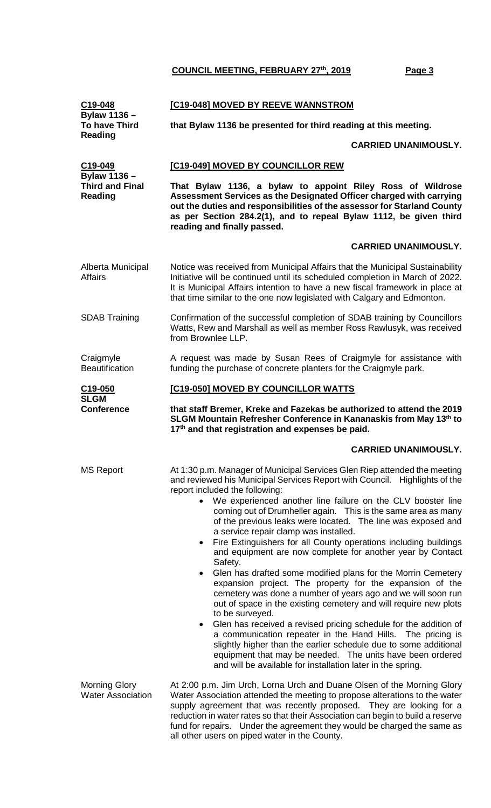| C19-048<br>Bylaw 1136 -                                         | [C19-048] MOVED BY REEVE WANNSTROM                                                                                                                                                                                                                                                                                                                                                                                                                                                                                                                                                                                                                                                                                                                                                                                                                                                                                                                                                                                                                                                                                                                                                                                |  |  |  |
|-----------------------------------------------------------------|-------------------------------------------------------------------------------------------------------------------------------------------------------------------------------------------------------------------------------------------------------------------------------------------------------------------------------------------------------------------------------------------------------------------------------------------------------------------------------------------------------------------------------------------------------------------------------------------------------------------------------------------------------------------------------------------------------------------------------------------------------------------------------------------------------------------------------------------------------------------------------------------------------------------------------------------------------------------------------------------------------------------------------------------------------------------------------------------------------------------------------------------------------------------------------------------------------------------|--|--|--|
| <b>To have Third</b><br><b>Reading</b>                          | that Bylaw 1136 be presented for third reading at this meeting.                                                                                                                                                                                                                                                                                                                                                                                                                                                                                                                                                                                                                                                                                                                                                                                                                                                                                                                                                                                                                                                                                                                                                   |  |  |  |
|                                                                 | <b>CARRIED UNANIMOUSLY.</b>                                                                                                                                                                                                                                                                                                                                                                                                                                                                                                                                                                                                                                                                                                                                                                                                                                                                                                                                                                                                                                                                                                                                                                                       |  |  |  |
| C19-049                                                         | [C19-049] MOVED BY COUNCILLOR REW                                                                                                                                                                                                                                                                                                                                                                                                                                                                                                                                                                                                                                                                                                                                                                                                                                                                                                                                                                                                                                                                                                                                                                                 |  |  |  |
| <b>Bylaw 1136 -</b><br><b>Third and Final</b><br><b>Reading</b> | That Bylaw 1136, a bylaw to appoint Riley Ross of Wildrose<br>Assessment Services as the Designated Officer charged with carrying<br>out the duties and responsibilities of the assessor for Starland County<br>as per Section 284.2(1), and to repeal Bylaw 1112, be given third<br>reading and finally passed.                                                                                                                                                                                                                                                                                                                                                                                                                                                                                                                                                                                                                                                                                                                                                                                                                                                                                                  |  |  |  |
|                                                                 | <b>CARRIED UNANIMOUSLY.</b>                                                                                                                                                                                                                                                                                                                                                                                                                                                                                                                                                                                                                                                                                                                                                                                                                                                                                                                                                                                                                                                                                                                                                                                       |  |  |  |
| Alberta Municipal<br><b>Affairs</b>                             | Notice was received from Municipal Affairs that the Municipal Sustainability<br>Initiative will be continued until its scheduled completion in March of 2022.<br>It is Municipal Affairs intention to have a new fiscal framework in place at<br>that time similar to the one now legislated with Calgary and Edmonton.                                                                                                                                                                                                                                                                                                                                                                                                                                                                                                                                                                                                                                                                                                                                                                                                                                                                                           |  |  |  |
| <b>SDAB Training</b>                                            | Confirmation of the successful completion of SDAB training by Councillors<br>Watts, Rew and Marshall as well as member Ross Rawlusyk, was received<br>from Brownlee LLP.                                                                                                                                                                                                                                                                                                                                                                                                                                                                                                                                                                                                                                                                                                                                                                                                                                                                                                                                                                                                                                          |  |  |  |
| Craigmyle<br><b>Beautification</b>                              | A request was made by Susan Rees of Craigmyle for assistance with<br>funding the purchase of concrete planters for the Craigmyle park.                                                                                                                                                                                                                                                                                                                                                                                                                                                                                                                                                                                                                                                                                                                                                                                                                                                                                                                                                                                                                                                                            |  |  |  |
| C <sub>19</sub> -050<br><b>SLGM</b>                             | <b>[C19-050] MOVED BY COUNCILLOR WATTS</b>                                                                                                                                                                                                                                                                                                                                                                                                                                                                                                                                                                                                                                                                                                                                                                                                                                                                                                                                                                                                                                                                                                                                                                        |  |  |  |
| <b>Conference</b>                                               | that staff Bremer, Kreke and Fazekas be authorized to attend the 2019<br>SLGM Mountain Refresher Conference in Kananaskis from May 13th to<br>17 <sup>th</sup> and that registration and expenses be paid.                                                                                                                                                                                                                                                                                                                                                                                                                                                                                                                                                                                                                                                                                                                                                                                                                                                                                                                                                                                                        |  |  |  |
|                                                                 | <b>CARRIED UNANIMOUSLY.</b>                                                                                                                                                                                                                                                                                                                                                                                                                                                                                                                                                                                                                                                                                                                                                                                                                                                                                                                                                                                                                                                                                                                                                                                       |  |  |  |
| <b>MS Report</b>                                                | At 1:30 p.m. Manager of Municipal Services Glen Riep attended the meeting<br>and reviewed his Municipal Services Report with Council. Highlights of the<br>report included the following:<br>We experienced another line failure on the CLV booster line<br>coming out of Drumheller again. This is the same area as many<br>of the previous leaks were located. The line was exposed and<br>a service repair clamp was installed.<br>Fire Extinguishers for all County operations including buildings<br>and equipment are now complete for another year by Contact<br>Safety.<br>Glen has drafted some modified plans for the Morrin Cemetery<br>expansion project. The property for the expansion of the<br>cemetery was done a number of years ago and we will soon run<br>out of space in the existing cemetery and will require new plots<br>to be surveyed.<br>Glen has received a revised pricing schedule for the addition of<br>$\bullet$<br>a communication repeater in the Hand Hills. The pricing is<br>slightly higher than the earlier schedule due to some additional<br>equipment that may be needed. The units have been ordered<br>and will be available for installation later in the spring. |  |  |  |
| <b>Morning Glory</b><br><b>Water Association</b>                | At 2:00 p.m. Jim Urch, Lorna Urch and Duane Olsen of the Morning Glory<br>Water Association attended the meeting to propose alterations to the water<br>supply agreement that was recently proposed. They are looking for a<br>reduction in water rates so that their Association can begin to build a reserve<br>fund for repairs. Under the agreement they would be charged the same as<br>all other users on piped water in the County.                                                                                                                                                                                                                                                                                                                                                                                                                                                                                                                                                                                                                                                                                                                                                                        |  |  |  |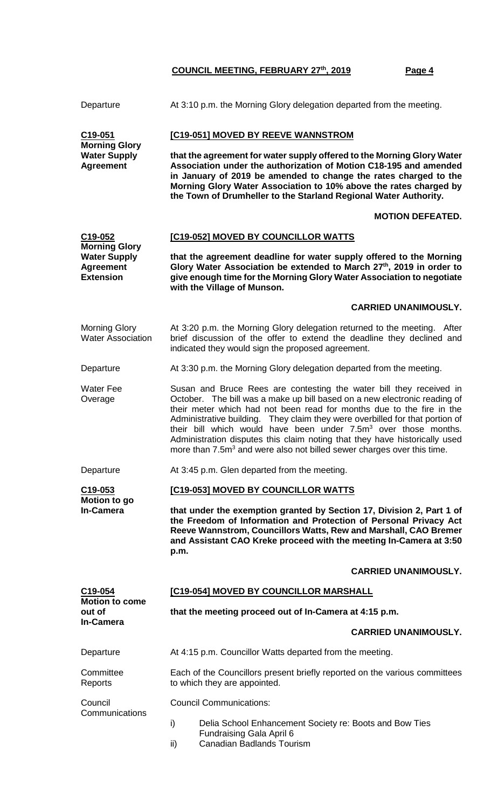| Departure                                                                           | At 3:10 p.m. the Morning Glory delegation departed from the meeting.                                                                                                                                                                                                                                                                                                                                                                                                                                                                                         |  |  |  |
|-------------------------------------------------------------------------------------|--------------------------------------------------------------------------------------------------------------------------------------------------------------------------------------------------------------------------------------------------------------------------------------------------------------------------------------------------------------------------------------------------------------------------------------------------------------------------------------------------------------------------------------------------------------|--|--|--|
| C19-051<br><b>Morning Glory</b>                                                     | [C19-051] MOVED BY REEVE WANNSTROM                                                                                                                                                                                                                                                                                                                                                                                                                                                                                                                           |  |  |  |
| <b>Water Supply</b><br><b>Agreement</b>                                             | that the agreement for water supply offered to the Morning Glory Water<br>Association under the authorization of Motion C18-195 and amended<br>in January of 2019 be amended to change the rates charged to the<br>Morning Glory Water Association to 10% above the rates charged by<br>the Town of Drumheller to the Starland Regional Water Authority.                                                                                                                                                                                                     |  |  |  |
|                                                                                     | <b>MOTION DEFEATED.</b>                                                                                                                                                                                                                                                                                                                                                                                                                                                                                                                                      |  |  |  |
| C19-052                                                                             | [C19-052] MOVED BY COUNCILLOR WATTS                                                                                                                                                                                                                                                                                                                                                                                                                                                                                                                          |  |  |  |
| <b>Morning Glory</b><br><b>Water Supply</b><br><b>Agreement</b><br><b>Extension</b> | that the agreement deadline for water supply offered to the Morning<br>Glory Water Association be extended to March 27th, 2019 in order to<br>give enough time for the Morning Glory Water Association to negotiate<br>with the Village of Munson.                                                                                                                                                                                                                                                                                                           |  |  |  |
|                                                                                     | <b>CARRIED UNANIMOUSLY.</b>                                                                                                                                                                                                                                                                                                                                                                                                                                                                                                                                  |  |  |  |
| <b>Morning Glory</b><br><b>Water Association</b>                                    | At 3:20 p.m. the Morning Glory delegation returned to the meeting. After<br>brief discussion of the offer to extend the deadline they declined and<br>indicated they would sign the proposed agreement.                                                                                                                                                                                                                                                                                                                                                      |  |  |  |
| Departure                                                                           | At 3:30 p.m. the Morning Glory delegation departed from the meeting.                                                                                                                                                                                                                                                                                                                                                                                                                                                                                         |  |  |  |
| <b>Water Fee</b><br>Overage                                                         | Susan and Bruce Rees are contesting the water bill they received in<br>October. The bill was a make up bill based on a new electronic reading of<br>their meter which had not been read for months due to the fire in the<br>Administrative building. They claim they were overbilled for that portion of<br>their bill which would have been under 7.5m <sup>3</sup> over those months.<br>Administration disputes this claim noting that they have historically used<br>more than 7.5m <sup>3</sup> and were also not billed sewer charges over this time. |  |  |  |
| Departure                                                                           | At 3:45 p.m. Glen departed from the meeting.                                                                                                                                                                                                                                                                                                                                                                                                                                                                                                                 |  |  |  |
| C <sub>19-053</sub><br>Motion to go                                                 | [C19-053] MOVED BY COUNCILLOR WATTS                                                                                                                                                                                                                                                                                                                                                                                                                                                                                                                          |  |  |  |
| <b>In-Camera</b>                                                                    | that under the exemption granted by Section 17, Division 2, Part 1 of<br>the Freedom of Information and Protection of Personal Privacy Act<br>Reeve Wannstrom, Councillors Watts, Rew and Marshall, CAO Bremer<br>and Assistant CAO Kreke proceed with the meeting In-Camera at 3:50<br>p.m.                                                                                                                                                                                                                                                                 |  |  |  |
|                                                                                     | <b>CARRIED UNANIMOUSLY.</b>                                                                                                                                                                                                                                                                                                                                                                                                                                                                                                                                  |  |  |  |
| C <sub>19</sub> -054                                                                | [C19-054] MOVED BY COUNCILLOR MARSHALL                                                                                                                                                                                                                                                                                                                                                                                                                                                                                                                       |  |  |  |
| <b>Motion to come</b><br>out of                                                     | that the meeting proceed out of In-Camera at 4:15 p.m.                                                                                                                                                                                                                                                                                                                                                                                                                                                                                                       |  |  |  |
| <b>In-Camera</b>                                                                    | <b>CARRIED UNANIMOUSLY.</b>                                                                                                                                                                                                                                                                                                                                                                                                                                                                                                                                  |  |  |  |
| Departure                                                                           | At 4:15 p.m. Councillor Watts departed from the meeting.                                                                                                                                                                                                                                                                                                                                                                                                                                                                                                     |  |  |  |
| Committee<br>Reports                                                                | Each of the Councillors present briefly reported on the various committees<br>to which they are appointed.                                                                                                                                                                                                                                                                                                                                                                                                                                                   |  |  |  |
| Council<br>Communications                                                           | <b>Council Communications:</b>                                                                                                                                                                                                                                                                                                                                                                                                                                                                                                                               |  |  |  |
|                                                                                     | i)<br>Delia School Enhancement Society re: Boots and Bow Ties<br>Fundraising Gala April 6<br><b>Canadian Badlands Tourism</b><br>ii)                                                                                                                                                                                                                                                                                                                                                                                                                         |  |  |  |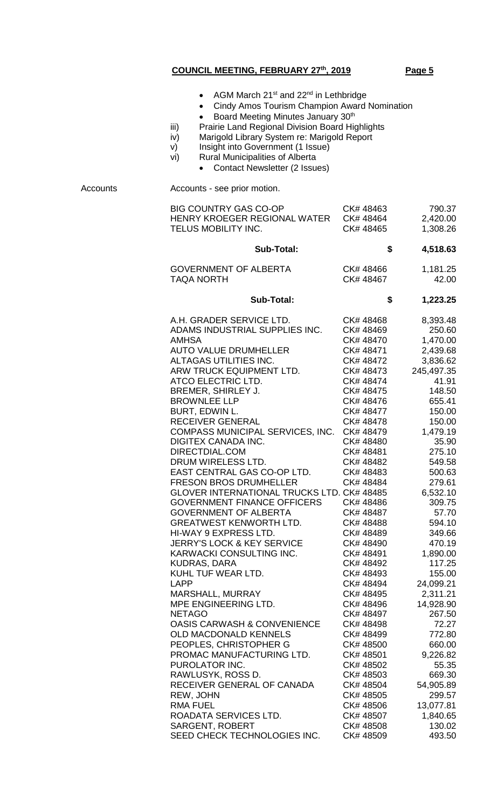|  | AGM March 21 <sup>st</sup> and 22 <sup>nd</sup> in Lethbridge |  |  |  |
|--|---------------------------------------------------------------|--|--|--|
|--|---------------------------------------------------------------|--|--|--|

- Cindy Amos Tourism Champion Award Nomination
- Board Meeting Minutes January 30<sup>th</sup>
- iii) Prairie Land Regional Division Board Highlights
- iv) Marigold Library System re: Marigold Report
- v) Insight into Government (1 Issue)
- vi) Rural Municipalities of Alberta
	- Contact Newsletter (2 Issues)

Accounts Accounts - see prior motion.

| <b>BIG COUNTRY GAS CO-OP</b><br>HENRY KROEGER REGIONAL WATER<br>TELUS MOBILITY INC.                                                                                                                                                                                                                                                                                                                                                                                                                                                                                                                                                                                                                                                                                                                                                                                                                                                                                                                                                                                                                                | CK# 48463<br>CK#48464<br>CK# 48465                                                                                                                                                                                                                                                                                                                                                                                                                                                                                           | 790.37<br>2,420.00<br>1,308.26                                                                                                                                                                                                                                                                                                                                                                                                                        |
|--------------------------------------------------------------------------------------------------------------------------------------------------------------------------------------------------------------------------------------------------------------------------------------------------------------------------------------------------------------------------------------------------------------------------------------------------------------------------------------------------------------------------------------------------------------------------------------------------------------------------------------------------------------------------------------------------------------------------------------------------------------------------------------------------------------------------------------------------------------------------------------------------------------------------------------------------------------------------------------------------------------------------------------------------------------------------------------------------------------------|------------------------------------------------------------------------------------------------------------------------------------------------------------------------------------------------------------------------------------------------------------------------------------------------------------------------------------------------------------------------------------------------------------------------------------------------------------------------------------------------------------------------------|-------------------------------------------------------------------------------------------------------------------------------------------------------------------------------------------------------------------------------------------------------------------------------------------------------------------------------------------------------------------------------------------------------------------------------------------------------|
| <b>Sub-Total:</b>                                                                                                                                                                                                                                                                                                                                                                                                                                                                                                                                                                                                                                                                                                                                                                                                                                                                                                                                                                                                                                                                                                  | \$                                                                                                                                                                                                                                                                                                                                                                                                                                                                                                                           | 4,518.63                                                                                                                                                                                                                                                                                                                                                                                                                                              |
| <b>GOVERNMENT OF ALBERTA</b><br><b>TAQA NORTH</b>                                                                                                                                                                                                                                                                                                                                                                                                                                                                                                                                                                                                                                                                                                                                                                                                                                                                                                                                                                                                                                                                  | CK# 48466<br>CK# 48467                                                                                                                                                                                                                                                                                                                                                                                                                                                                                                       | 1,181.25<br>42.00                                                                                                                                                                                                                                                                                                                                                                                                                                     |
| <b>Sub-Total:</b>                                                                                                                                                                                                                                                                                                                                                                                                                                                                                                                                                                                                                                                                                                                                                                                                                                                                                                                                                                                                                                                                                                  | \$                                                                                                                                                                                                                                                                                                                                                                                                                                                                                                                           | 1,223.25                                                                                                                                                                                                                                                                                                                                                                                                                                              |
| A.H. GRADER SERVICE LTD.<br>ADAMS INDUSTRIAL SUPPLIES INC.<br><b>AMHSA</b><br><b>AUTO VALUE DRUMHELLER</b><br>ALTAGAS UTILITIES INC.<br>ARW TRUCK EQUIPMENT LTD.<br>ATCO ELECTRIC LTD.<br>BREMER, SHIRLEY J.<br><b>BROWNLEE LLP</b><br><b>BURT, EDWIN L.</b><br>RECEIVER GENERAL<br>COMPASS MUNICIPAL SERVICES, INC.<br><b>DIGITEX CANADA INC.</b><br>DIRECTDIAL.COM<br>DRUM WIRELESS LTD.<br>EAST CENTRAL GAS CO-OP LTD.<br><b>FRESON BROS DRUMHELLER</b><br><b>GLOVER INTERNATIONAL TRUCKS LTD. CK# 48485</b><br><b>GOVERNMENT FINANCE OFFICERS</b><br><b>GOVERNMENT OF ALBERTA</b><br><b>GREATWEST KENWORTH LTD.</b><br>HI-WAY 9 EXPRESS LTD.<br><b>JERRY'S LOCK &amp; KEY SERVICE</b><br>KARWACKI CONSULTING INC.<br><b>KUDRAS, DARA</b><br>KUHL TUF WEAR LTD.<br>LAPP<br>MARSHALL, MURRAY<br>MPE ENGINEERING LTD.<br><b>NETAGO</b><br><b>OASIS CARWASH &amp; CONVENIENCE</b><br><b>OLD MACDONALD KENNELS</b><br>PEOPLES, CHRISTOPHER G<br>PROMAC MANUFACTURING LTD.<br>PUROLATOR INC.<br>RAWLUSYK, ROSS D.<br>RECEIVER GENERAL OF CANADA<br>REW, JOHN<br>RMA FUEL<br>ROADATA SERVICES LTD.<br>SARGENT, ROBERT | CK# 48468<br>CK# 48469<br>CK#48470<br>CK# 48471<br>CK# 48472<br>CK# 48473<br>CK# 48474<br>CK# 48475<br>CK# 48476<br>CK#48477<br>CK#48478<br>CK#48479<br>CK# 48480<br>CK# 48481<br>CK# 48482<br>CK#48483<br>CK# 48484<br>CK# 48486<br>CK# 48487<br>CK# 48488<br>CK# 48489<br>CK#48490<br>CK# 48491<br>CK# 48492<br>CK#48493<br>CK# 48494<br>CK# 48495<br>CK# 48496<br>CK# 48497<br>CK# 48498<br>CK# 48499<br>CK# 48500<br>CK# 48501<br>CK# 48502<br>CK# 48503<br>CK# 48504<br>CK# 48505<br>CK#48506<br>CK# 48507<br>CK# 48508 | 8,393.48<br>250.60<br>1,470.00<br>2,439.68<br>3,836.62<br>245,497.35<br>41.91<br>148.50<br>655.41<br>150.00<br>150.00<br>1,479.19<br>35.90<br>275.10<br>549.58<br>500.63<br>279.61<br>6,532.10<br>309.75<br>57.70<br>594.10<br>349.66<br>470.19<br>1,890.00<br>117.25<br>155.00<br>24,099.21<br>2,311.21<br>14,928.90<br>267.50<br>72.27<br>772.80<br>660.00<br>9,226.82<br>55.35<br>669.30<br>54,905.89<br>299.57<br>13,077.81<br>1,840.65<br>130.02 |
| SEED CHECK TECHNOLOGIES INC.                                                                                                                                                                                                                                                                                                                                                                                                                                                                                                                                                                                                                                                                                                                                                                                                                                                                                                                                                                                                                                                                                       | CK# 48509                                                                                                                                                                                                                                                                                                                                                                                                                                                                                                                    | 493.50                                                                                                                                                                                                                                                                                                                                                                                                                                                |